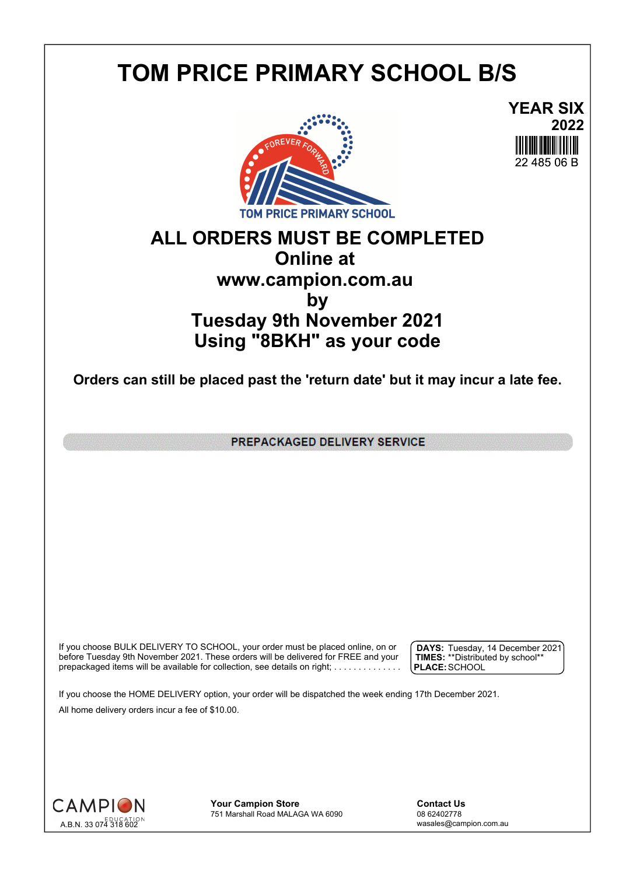## **TOM PRICE PRIMARY SCHOOL B/S**



**YEAR SIX 2022** 22 485 06 B

## **ALL ORDERS MUST BE COMPLETED Online at www.campion.com.au by Tuesday 9th November 2021 Using "8BKH" as your code**

**Orders can still be placed past the 'return date' but it may incur a late fee.**

PREPACKAGED DELIVERY SERVICE

If you choose BULK DELIVERY TO SCHOOL, your order must be placed online, on or  $\int$  DAYS: Tuesday, 1 before Tuesday 9th November 2021. These orders will be delivered for FREE and your  $\;\;\;$  **| TIMES:** \*\*Distribute prepackaged items will be available for collection, see details on right; . . . . . . . . . . . . . . .

**DAYS:** Tuesday, 14 December 2021 **TIMES:** \*\*Distributed by school\*\* **PLACE:**SCHOOL

If you choose the HOME DELIVERY option, your order will be dispatched the week ending 17th December 2021. All home delivery orders incur a fee of \$10.00.



**Your Campion Store**<br>
751 Marshall Road MALAGA WA 6090<br>
08 62402778 751 Marshall Road MALAGA WA 6090

wasales@campion.com.au